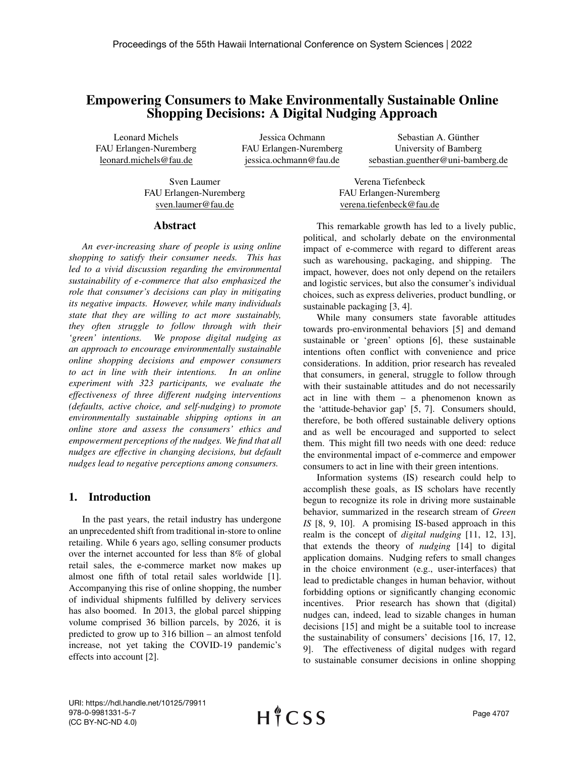# Empowering Consumers to Make Environmentally Sustainable Online Shopping Decisions: A Digital Nudging Approach

Leonard Michels FAU Erlangen-Nuremberg leonard.michels@fau.de

Jessica Ochmann FAU Erlangen-Nuremberg jessica.ochmann@fau.de

Sebastian A. Günther University of Bamberg sebastian.guenther@uni-bamberg.de

Sven Laumer FAU Erlangen-Nuremberg sven.laumer@fau.de

Verena Tiefenbeck FAU Erlangen-Nuremberg verena.tiefenbeck@fau.de

## Abstract

*An ever-increasing share of people is using online shopping to satisfy their consumer needs. This has led to a vivid discussion regarding the environmental sustainability of e-commerce that also emphasized the role that consumer's decisions can play in mitigating its negative impacts. However, while many individuals state that they are willing to act more sustainably, they often struggle to follow through with their 'green' intentions. We propose digital nudging as an approach to encourage environmentally sustainable online shopping decisions and empower consumers to act in line with their intentions. In an online experiment with 323 participants, we evaluate the effectiveness of three different nudging interventions (defaults, active choice, and self-nudging) to promote environmentally sustainable shipping options in an online store and assess the consumers' ethics and empowerment perceptions of the nudges. We find that all nudges are effective in changing decisions, but default nudges lead to negative perceptions among consumers.*

## 1. Introduction

In the past years, the retail industry has undergone an unprecedented shift from traditional in-store to online retailing. While 6 years ago, selling consumer products over the internet accounted for less than 8% of global retail sales, the e-commerce market now makes up almost one fifth of total retail sales worldwide [1]. Accompanying this rise of online shopping, the number of individual shipments fulfilled by delivery services has also boomed. In 2013, the global parcel shipping volume comprised 36 billion parcels, by 2026, it is predicted to grow up to 316 billion – an almost tenfold increase, not yet taking the COVID-19 pandemic's effects into account [2].

This remarkable growth has led to a lively public, political, and scholarly debate on the environmental impact of e-commerce with regard to different areas such as warehousing, packaging, and shipping. The impact, however, does not only depend on the retailers and logistic services, but also the consumer's individual choices, such as express deliveries, product bundling, or sustainable packaging [3, 4].

While many consumers state favorable attitudes towards pro-environmental behaviors [5] and demand sustainable or 'green' options [6], these sustainable intentions often conflict with convenience and price considerations. In addition, prior research has revealed that consumers, in general, struggle to follow through with their sustainable attitudes and do not necessarily act in line with them – a phenomenon known as the 'attitude-behavior gap' [5, 7]. Consumers should, therefore, be both offered sustainable delivery options and as well be encouraged and supported to select them. This might fill two needs with one deed: reduce the environmental impact of e-commerce and empower consumers to act in line with their green intentions.

Information systems (IS) research could help to accomplish these goals, as IS scholars have recently begun to recognize its role in driving more sustainable behavior, summarized in the research stream of *Green IS* [8, 9, 10]. A promising IS-based approach in this realm is the concept of *digital nudging* [11, 12, 13], that extends the theory of *nudging* [14] to digital application domains. Nudging refers to small changes in the choice environment (e.g., user-interfaces) that lead to predictable changes in human behavior, without forbidding options or significantly changing economic incentives. Prior research has shown that (digital) nudges can, indeed, lead to sizable changes in human decisions [15] and might be a suitable tool to increase the sustainability of consumers' decisions [16, 17, 12, 9]. The effectiveness of digital nudges with regard to sustainable consumer decisions in online shopping

URI: https://hdl.handle.net/10125/79911 978-0-9981331-5-7 (CC BY-NC-ND 4.0)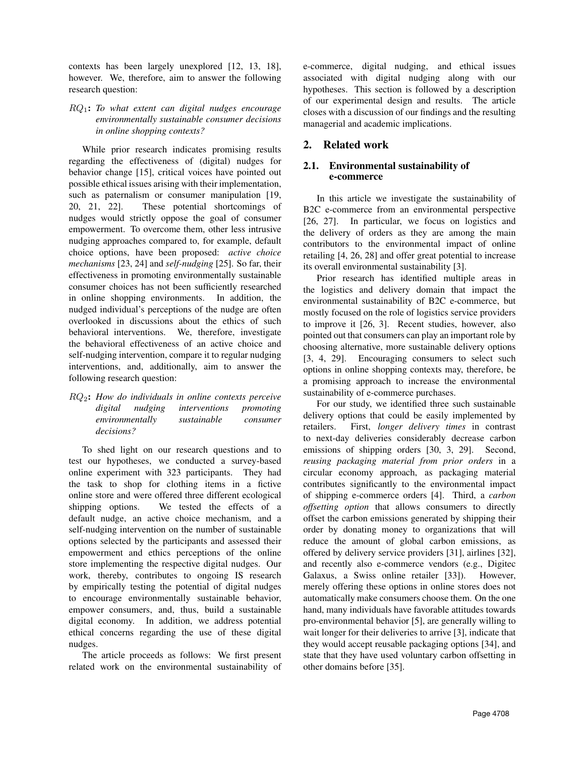contexts has been largely unexplored [12, 13, 18], however. We, therefore, aim to answer the following research question:

## RQ1: *To what extent can digital nudges encourage environmentally sustainable consumer decisions in online shopping contexts?*

While prior research indicates promising results regarding the effectiveness of (digital) nudges for behavior change [15], critical voices have pointed out possible ethical issues arising with their implementation, such as paternalism or consumer manipulation [19, 20, 21, 22]. These potential shortcomings of nudges would strictly oppose the goal of consumer empowerment. To overcome them, other less intrusive nudging approaches compared to, for example, default choice options, have been proposed: *active choice mechanisms* [23, 24] and *self-nudging* [25]. So far, their effectiveness in promoting environmentally sustainable consumer choices has not been sufficiently researched in online shopping environments. In addition, the nudged individual's perceptions of the nudge are often overlooked in discussions about the ethics of such behavioral interventions. We, therefore, investigate the behavioral effectiveness of an active choice and self-nudging intervention, compare it to regular nudging interventions, and, additionally, aim to answer the following research question:

## RQ2: *How do individuals in online contexts perceive digital nudging interventions promoting environmentally sustainable consumer decisions?*

To shed light on our research questions and to test our hypotheses, we conducted a survey-based online experiment with 323 participants. They had the task to shop for clothing items in a fictive online store and were offered three different ecological shipping options. We tested the effects of a default nudge, an active choice mechanism, and a self-nudging intervention on the number of sustainable options selected by the participants and assessed their empowerment and ethics perceptions of the online store implementing the respective digital nudges. Our work, thereby, contributes to ongoing IS research by empirically testing the potential of digital nudges to encourage environmentally sustainable behavior, empower consumers, and, thus, build a sustainable digital economy. In addition, we address potential ethical concerns regarding the use of these digital nudges.

The article proceeds as follows: We first present related work on the environmental sustainability of e-commerce, digital nudging, and ethical issues associated with digital nudging along with our hypotheses. This section is followed by a description of our experimental design and results. The article closes with a discussion of our findings and the resulting managerial and academic implications.

## 2. Related work

## 2.1. Environmental sustainability of e-commerce

In this article we investigate the sustainability of B2C e-commerce from an environmental perspective [26, 27]. In particular, we focus on logistics and the delivery of orders as they are among the main contributors to the environmental impact of online retailing [4, 26, 28] and offer great potential to increase its overall environmental sustainability [3].

Prior research has identified multiple areas in the logistics and delivery domain that impact the environmental sustainability of B2C e-commerce, but mostly focused on the role of logistics service providers to improve it [26, 3]. Recent studies, however, also pointed out that consumers can play an important role by choosing alternative, more sustainable delivery options [3, 4, 29]. Encouraging consumers to select such options in online shopping contexts may, therefore, be a promising approach to increase the environmental sustainability of e-commerce purchases.

For our study, we identified three such sustainable delivery options that could be easily implemented by retailers. First, *longer delivery times* in contrast to next-day deliveries considerably decrease carbon emissions of shipping orders [30, 3, 29]. Second, *reusing packaging material from prior orders* in a circular economy approach, as packaging material contributes significantly to the environmental impact of shipping e-commerce orders [4]. Third, a *carbon offsetting option* that allows consumers to directly offset the carbon emissions generated by shipping their order by donating money to organizations that will reduce the amount of global carbon emissions, as offered by delivery service providers [31], airlines [32], and recently also e-commerce vendors (e.g., Digitec Galaxus, a Swiss online retailer [33]). However, merely offering these options in online stores does not automatically make consumers choose them. On the one hand, many individuals have favorable attitudes towards pro-environmental behavior [5], are generally willing to wait longer for their deliveries to arrive [3], indicate that they would accept reusable packaging options [34], and state that they have used voluntary carbon offsetting in other domains before [35].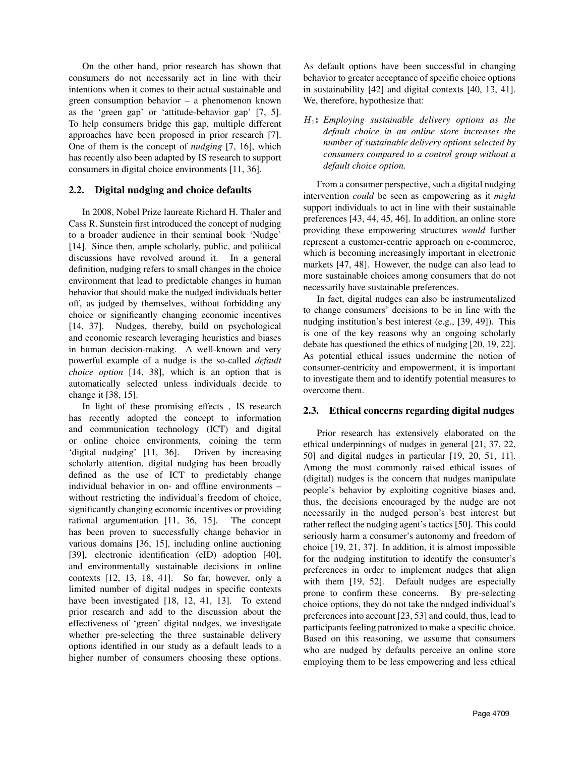On the other hand, prior research has shown that consumers do not necessarily act in line with their intentions when it comes to their actual sustainable and green consumption behavior – a phenomenon known as the 'green gap' or 'attitude-behavior gap' [7, 5]. To help consumers bridge this gap, multiple different approaches have been proposed in prior research [7]. One of them is the concept of *nudging* [7, 16], which has recently also been adapted by IS research to support consumers in digital choice environments [11, 36].

## 2.2. Digital nudging and choice defaults

In 2008, Nobel Prize laureate Richard H. Thaler and Cass R. Sunstein first introduced the concept of nudging to a broader audience in their seminal book 'Nudge' [14]. Since then, ample scholarly, public, and political discussions have revolved around it. In a general definition, nudging refers to small changes in the choice environment that lead to predictable changes in human behavior that should make the nudged individuals better off, as judged by themselves, without forbidding any choice or significantly changing economic incentives [14, 37]. Nudges, thereby, build on psychological and economic research leveraging heuristics and biases in human decision-making. A well-known and very powerful example of a nudge is the so-called *default choice option* [14, 38], which is an option that is automatically selected unless individuals decide to change it [38, 15].

In light of these promising effects , IS research has recently adopted the concept to information and communication technology (ICT) and digital or online choice environments, coining the term 'digital nudging' [11, 36]. Driven by increasing scholarly attention, digital nudging has been broadly defined as the use of ICT to predictably change individual behavior in on- and offline environments – without restricting the individual's freedom of choice, significantly changing economic incentives or providing rational argumentation [11, 36, 15]. The concept has been proven to successfully change behavior in various domains [36, 15], including online auctioning [39], electronic identification (eID) adoption [40], and environmentally sustainable decisions in online contexts [12, 13, 18, 41]. So far, however, only a limited number of digital nudges in specific contexts have been investigated [18, 12, 41, 13]. To extend prior research and add to the discussion about the effectiveness of 'green' digital nudges, we investigate whether pre-selecting the three sustainable delivery options identified in our study as a default leads to a higher number of consumers choosing these options.

As default options have been successful in changing behavior to greater acceptance of specific choice options in sustainability [42] and digital contexts [40, 13, 41]. We, therefore, hypothesize that:

H1: *Employing sustainable delivery options as the default choice in an online store increases the number of sustainable delivery options selected by consumers compared to a control group without a default choice option.*

From a consumer perspective, such a digital nudging intervention *could* be seen as empowering as it *might* support individuals to act in line with their sustainable preferences [43, 44, 45, 46]. In addition, an online store providing these empowering structures *would* further represent a customer-centric approach on e-commerce, which is becoming increasingly important in electronic markets [47, 48]. However, the nudge can also lead to more sustainable choices among consumers that do not necessarily have sustainable preferences.

In fact, digital nudges can also be instrumentalized to change consumers' decisions to be in line with the nudging institution's best interest (e.g., [39, 49]). This is one of the key reasons why an ongoing scholarly debate has questioned the ethics of nudging [20, 19, 22]. As potential ethical issues undermine the notion of consumer-centricity and empowerment, it is important to investigate them and to identify potential measures to overcome them.

## 2.3. Ethical concerns regarding digital nudges

Prior research has extensively elaborated on the ethical underpinnings of nudges in general [21, 37, 22, 50] and digital nudges in particular [19, 20, 51, 11]. Among the most commonly raised ethical issues of (digital) nudges is the concern that nudges manipulate people's behavior by exploiting cognitive biases and, thus, the decisions encouraged by the nudge are not necessarily in the nudged person's best interest but rather reflect the nudging agent's tactics [50]. This could seriously harm a consumer's autonomy and freedom of choice [19, 21, 37]. In addition, it is almost impossible for the nudging institution to identify the consumer's preferences in order to implement nudges that align with them [19, 52]. Default nudges are especially prone to confirm these concerns. By pre-selecting choice options, they do not take the nudged individual's preferences into account [23, 53] and could, thus, lead to participants feeling patronized to make a specific choice. Based on this reasoning, we assume that consumers who are nudged by defaults perceive an online store employing them to be less empowering and less ethical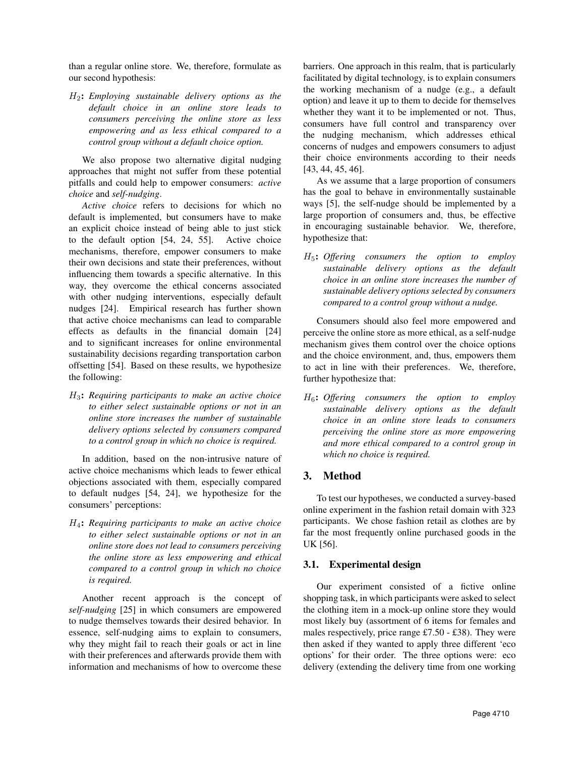than a regular online store. We, therefore, formulate as our second hypothesis:

H2: *Employing sustainable delivery options as the default choice in an online store leads to consumers perceiving the online store as less empowering and as less ethical compared to a control group without a default choice option.*

We also propose two alternative digital nudging approaches that might not suffer from these potential pitfalls and could help to empower consumers: *active choice* and *self-nudging*.

*Active choice* refers to decisions for which no default is implemented, but consumers have to make an explicit choice instead of being able to just stick to the default option [54, 24, 55]. Active choice mechanisms, therefore, empower consumers to make their own decisions and state their preferences, without influencing them towards a specific alternative. In this way, they overcome the ethical concerns associated with other nudging interventions, especially default nudges [24]. Empirical research has further shown that active choice mechanisms can lead to comparable effects as defaults in the financial domain [24] and to significant increases for online environmental sustainability decisions regarding transportation carbon offsetting [54]. Based on these results, we hypothesize the following:

H3: *Requiring participants to make an active choice to either select sustainable options or not in an online store increases the number of sustainable delivery options selected by consumers compared to a control group in which no choice is required.*

In addition, based on the non-intrusive nature of active choice mechanisms which leads to fewer ethical objections associated with them, especially compared to default nudges [54, 24], we hypothesize for the consumers' perceptions:

H4: *Requiring participants to make an active choice to either select sustainable options or not in an online store does not lead to consumers perceiving the online store as less empowering and ethical compared to a control group in which no choice is required.*

Another recent approach is the concept of *self-nudging* [25] in which consumers are empowered to nudge themselves towards their desired behavior. In essence, self-nudging aims to explain to consumers, why they might fail to reach their goals or act in line with their preferences and afterwards provide them with information and mechanisms of how to overcome these

barriers. One approach in this realm, that is particularly facilitated by digital technology, is to explain consumers the working mechanism of a nudge (e.g., a default option) and leave it up to them to decide for themselves whether they want it to be implemented or not. Thus, consumers have full control and transparency over the nudging mechanism, which addresses ethical concerns of nudges and empowers consumers to adjust their choice environments according to their needs [43, 44, 45, 46].

As we assume that a large proportion of consumers has the goal to behave in environmentally sustainable ways [5], the self-nudge should be implemented by a large proportion of consumers and, thus, be effective in encouraging sustainable behavior. We, therefore, hypothesize that:

H5: *Offering consumers the option to employ sustainable delivery options as the default choice in an online store increases the number of sustainable delivery options selected by consumers compared to a control group without a nudge.*

Consumers should also feel more empowered and perceive the online store as more ethical, as a self-nudge mechanism gives them control over the choice options and the choice environment, and, thus, empowers them to act in line with their preferences. We, therefore, further hypothesize that:

H6: *Offering consumers the option to employ sustainable delivery options as the default choice in an online store leads to consumers perceiving the online store as more empowering and more ethical compared to a control group in which no choice is required.*

## 3. Method

To test our hypotheses, we conducted a survey-based online experiment in the fashion retail domain with 323 participants. We chose fashion retail as clothes are by far the most frequently online purchased goods in the UK [56].

## 3.1. Experimental design

Our experiment consisted of a fictive online shopping task, in which participants were asked to select the clothing item in a mock-up online store they would most likely buy (assortment of 6 items for females and males respectively, price range £7.50 - £38). They were then asked if they wanted to apply three different 'eco options' for their order. The three options were: eco delivery (extending the delivery time from one working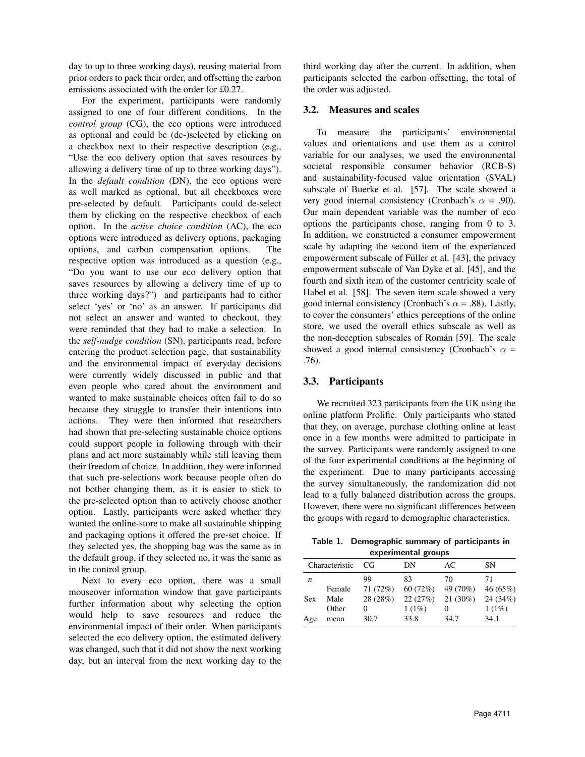day to up to three working days), reusing material from prior orders to pack their order, and offsetting the carbon emissions associated with the order for £0.27.

For the experiment, participants were randomly assigned to one of four different conditions. In the *control group* (CG), the eco options were introduced as optional and could be (de-)selected by clicking on a checkbox next to their respective description (e.g., "Use the eco delivery option that saves resources by allowing a delivery time of up to three working days"). In the *default condition* (DN), the eco options were as well marked as optional, but all checkboxes were pre-selected by default. Participants could de-select them by clicking on the respective checkbox of each option. In the *active choice condition* (AC), the eco options were introduced as delivery options, packaging options, and carbon compensation options. The respective option was introduced as a question (e.g., "Do you want to use our eco delivery option that saves resources by allowing a delivery time of up to three working days?") and participants had to either select 'yes' or 'no' as an answer. If participants did not select an answer and wanted to checkout, they were reminded that they had to make a selection. In the *self-nudge condition* (SN), participants read, before entering the product selection page, that sustainability and the environmental impact of everyday decisions were currently widely discussed in public and that even people who cared about the environment and wanted to make sustainable choices often fail to do so because they struggle to transfer their intentions into actions. They were then informed that researchers had shown that pre-selecting sustainable choice options could support people in following through with their plans and act more sustainably while still leaving them their freedom of choice. In addition, they were informed that such pre-selections work because people often do not bother changing them, as it is easier to stick to the pre-selected option than to actively choose another option. Lastly, participants were asked whether they wanted the online-store to make all sustainable shipping and packaging options it offered the pre-set choice. If they selected yes, the shopping bag was the same as in the default group, if they selected no, it was the same as in the control group.

Next to every eco option, there was a small mouseover information window that gave participants further information about why selecting the option would help to save resources and reduce the environmental impact of their order. When participants selected the eco delivery option, the estimated delivery was changed, such that it did not show the next working day, but an interval from the next working day to the

third working day after the current. In addition, when participants selected the carbon offsetting, the total of the order was adjusted.

#### 3.2. Measures and scales

To measure the participants' environmental values and orientations and use them as a control variable for our analyses, we used the environmental societal responsible consumer behavior (RCB-S) and sustainability-focused value orientation (SVAL) subscale of Buerke et al. [57]. The scale showed a very good internal consistency (Cronbach's  $\alpha = .90$ ). Our main dependent variable was the number of eco options the participants chose, ranging from 0 to 3. In addition, we constructed a consumer empowerment scale by adapting the second item of the experienced empowerment subscale of Füller et al. [43], the privacy empowerment subscale of Van Dyke et al. [45], and the fourth and sixth item of the customer centricity scale of Habel et al. [58]. The seven item scale showed a very good internal consistency (Cronbach's  $\alpha$  = .88). Lastly, to cover the consumers' ethics perceptions of the online store, we used the overall ethics subscale as well as the non-deception subscales of Román [59]. The scale showed a good internal consistency (Cronbach's  $\alpha$  = .76).

## 3.3. Participants

We recruited 323 participants from the UK using the online platform Prolific. Only participants who stated that they, on average, purchase clothing online at least once in a few months were admitted to participate in the survey. Participants were randomly assigned to one of the four experimental conditions at the beginning of the experiment. Due to many participants accessing the survey simultaneously, the randomization did not lead to a fully balanced distribution across the groups. However, there were no significant differences between the groups with regard to demographic characteristics.

Table 1. Demographic summary of participants in

| experimental groups |        |          |         |            |          |  |  |
|---------------------|--------|----------|---------|------------|----------|--|--|
| Characteristic      |        | CG       | DΝ      | AC         | SΝ       |  |  |
| n                   |        | 99       | 83      | 70         | 71       |  |  |
|                     | Female | 71 (72%) | 60(72%) | 49 (70%)   | 46(65%)  |  |  |
| <b>Sex</b>          | Male   | 28 (28%) | 22(27%) | $21(30\%)$ | 24 (34%) |  |  |
|                     | Other  | 0        | 1(1%)   | 0          | 1(1%)    |  |  |
| Age                 | mean   | 30.7     | 33.8    | 34.7       | 34.1     |  |  |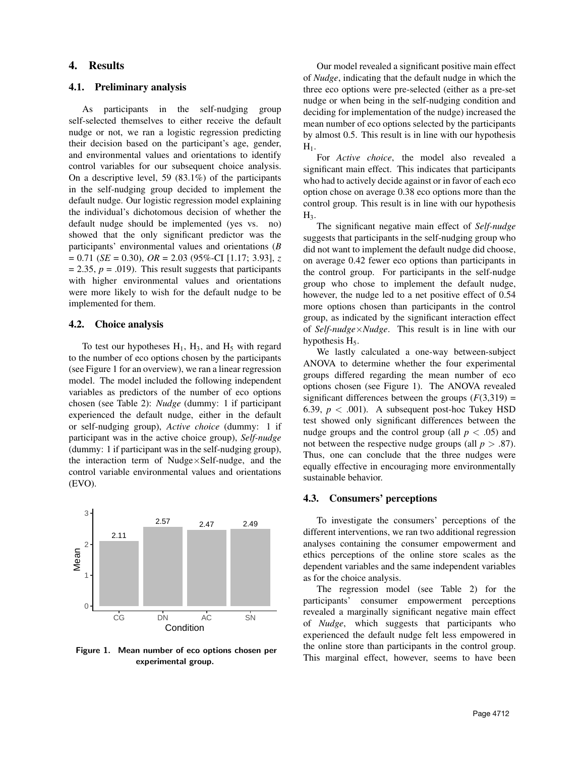## 4. Results

#### 4.1. Preliminary analysis

As participants in the self-nudging group self-selected themselves to either receive the default nudge or not, we ran a logistic regression predicting their decision based on the participant's age, gender, and environmental values and orientations to identify control variables for our subsequent choice analysis. On a descriptive level, 59 (83.1%) of the participants in the self-nudging group decided to implement the default nudge. Our logistic regression model explaining the individual's dichotomous decision of whether the default nudge should be implemented (yes vs. no) showed that the only significant predictor was the participants' environmental values and orientations (*B* = 0.71 (*SE* = 0.30), *OR* = 2.03 (95%-CI [1.17; 3.93], *z*  $= 2.35, p = .019$ . This result suggests that participants with higher environmental values and orientations were more likely to wish for the default nudge to be implemented for them.

#### 4.2. Choice analysis

To test our hypotheses  $H_1$ ,  $H_3$ , and  $H_5$  with regard to the number of eco options chosen by the participants (see Figure 1 for an overview), we ran a linear regression model. The model included the following independent variables as predictors of the number of eco options chosen (see Table 2): *Nudge* (dummy: 1 if participant experienced the default nudge, either in the default or self-nudging group), *Active choice* (dummy: 1 if participant was in the active choice group), *Self-nudge* (dummy: 1 if participant was in the self-nudging group), the interaction term of Nudge $\times$ Self-nudge, and the control variable environmental values and orientations (EVO).



Figure 1. Mean number of eco options chosen per experimental group.

Our model revealed a significant positive main effect of *Nudge*, indicating that the default nudge in which the three eco options were pre-selected (either as a pre-set nudge or when being in the self-nudging condition and deciding for implementation of the nudge) increased the mean number of eco options selected by the participants by almost 0.5. This result is in line with our hypothesis  $H_1$ .

For *Active choice*, the model also revealed a significant main effect. This indicates that participants who had to actively decide against or in favor of each eco option chose on average 0.38 eco options more than the control group. This result is in line with our hypothesis  $H<sub>3</sub>$ .

The significant negative main effect of *Self-nudge* suggests that participants in the self-nudging group who did not want to implement the default nudge did choose, on average 0.42 fewer eco options than participants in the control group. For participants in the self-nudge group who chose to implement the default nudge, however, the nudge led to a net positive effect of 0.54 more options chosen than participants in the control group, as indicated by the significant interaction effect of *Self-nudge*×*Nudge*. This result is in line with our hypothesis  $H<sub>5</sub>$ .

We lastly calculated a one-way between-subject ANOVA to determine whether the four experimental groups differed regarding the mean number of eco options chosen (see Figure 1). The ANOVA revealed significant differences between the groups  $(F(3,319))$  = 6.39,  $p < .001$ ). A subsequent post-hoc Tukey HSD test showed only significant differences between the nudge groups and the control group (all  $p < .05$ ) and not between the respective nudge groups (all  $p > .87$ ). Thus, one can conclude that the three nudges were equally effective in encouraging more environmentally sustainable behavior.

### 4.3. Consumers' perceptions

To investigate the consumers' perceptions of the different interventions, we ran two additional regression analyses containing the consumer empowerment and ethics perceptions of the online store scales as the dependent variables and the same independent variables as for the choice analysis.

The regression model (see Table 2) for the participants' consumer empowerment perceptions revealed a marginally significant negative main effect of *Nudge*, which suggests that participants who experienced the default nudge felt less empowered in the online store than participants in the control group. This marginal effect, however, seems to have been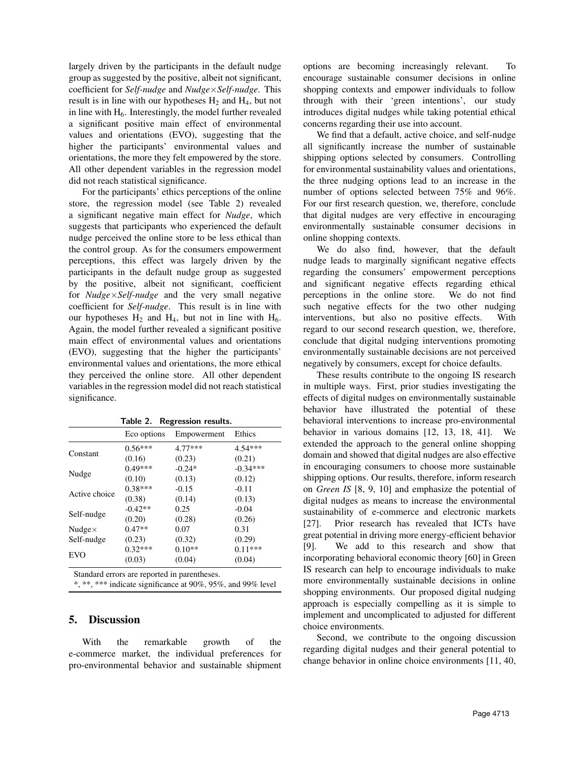largely driven by the participants in the default nudge group as suggested by the positive, albeit not significant, coefficient for *Self-nudge* and *Nudge*×*Self-nudge*. This result is in line with our hypotheses  $H_2$  and  $H_4$ , but not in line with  $H<sub>6</sub>$ . Interestingly, the model further revealed a significant positive main effect of environmental values and orientations (EVO), suggesting that the higher the participants' environmental values and orientations, the more they felt empowered by the store. All other dependent variables in the regression model did not reach statistical significance.

For the participants' ethics perceptions of the online store, the regression model (see Table 2) revealed a significant negative main effect for *Nudge*, which suggests that participants who experienced the default nudge perceived the online store to be less ethical than the control group. As for the consumers empowerment perceptions, this effect was largely driven by the participants in the default nudge group as suggested by the positive, albeit not significant, coefficient for *Nudge*×*Self-nudge* and the very small negative coefficient for *Self-nudge*. This result is in line with our hypotheses  $H_2$  and  $H_4$ , but not in line with  $H_6$ . Again, the model further revealed a significant positive main effect of environmental values and orientations (EVO), suggesting that the higher the participants' environmental values and orientations, the more ethical they perceived the online store. All other dependent variables in the regression model did not reach statistical significance.

|                | Eco options | Empowerment | Ethics     |
|----------------|-------------|-------------|------------|
|                | $0.56***$   | $4.77***$   | $4.54***$  |
| Constant       | (0.16)      | (0.23)      | (0.21)     |
|                | $0.49***$   | $-0.24*$    | $-0.34***$ |
| Nudge          | (0.10)      | (0.13)      | (0.12)     |
| Active choice  | $0.38***$   | $-0.15$     | $-0.11$    |
|                | (0.38)      | (0.14)      | (0.13)     |
| Self-nudge     | $-0.42**$   | 0.25        | $-0.04$    |
|                | (0.20)      | (0.28)      | (0.26)     |
| Nudge $\times$ | $0.47**$    | 0.07        | 0.31       |
| Self-nudge     | (0.23)      | (0.32)      | (0.29)     |
| EVO            | $0.32***$   | $0.10**$    | $0.11***$  |
|                | (0.03)      | (0.04)      | (0.04)     |

Table 2. Regression results.

Standard errors are reported in parentheses.

\*, \*\*, \*\*\* indicate significance at 90%, 95%, and 99% level

## 5. Discussion

With the remarkable growth of the e-commerce market, the individual preferences for pro-environmental behavior and sustainable shipment options are becoming increasingly relevant. To encourage sustainable consumer decisions in online shopping contexts and empower individuals to follow through with their 'green intentions', our study introduces digital nudges while taking potential ethical concerns regarding their use into account.

We find that a default, active choice, and self-nudge all significantly increase the number of sustainable shipping options selected by consumers. Controlling for environmental sustainability values and orientations, the three nudging options lead to an increase in the number of options selected between 75% and 96%. For our first research question, we, therefore, conclude that digital nudges are very effective in encouraging environmentally sustainable consumer decisions in online shopping contexts.

We do also find, however, that the default nudge leads to marginally significant negative effects regarding the consumers' empowerment perceptions and significant negative effects regarding ethical perceptions in the online store. We do not find such negative effects for the two other nudging interventions, but also no positive effects. With regard to our second research question, we, therefore, conclude that digital nudging interventions promoting environmentally sustainable decisions are not perceived negatively by consumers, except for choice defaults.

These results contribute to the ongoing IS research in multiple ways. First, prior studies investigating the effects of digital nudges on environmentally sustainable behavior have illustrated the potential of these behavioral interventions to increase pro-environmental behavior in various domains [12, 13, 18, 41]. We extended the approach to the general online shopping domain and showed that digital nudges are also effective in encouraging consumers to choose more sustainable shipping options. Our results, therefore, inform research on *Green IS* [8, 9, 10] and emphasize the potential of digital nudges as means to increase the environmental sustainability of e-commerce and electronic markets [27]. Prior research has revealed that ICTs have great potential in driving more energy-efficient behavior [9]. We add to this research and show that incorporating behavioral economic theory [60] in Green IS research can help to encourage individuals to make more environmentally sustainable decisions in online shopping environments. Our proposed digital nudging approach is especially compelling as it is simple to implement and uncomplicated to adjusted for different choice environments.

Second, we contribute to the ongoing discussion regarding digital nudges and their general potential to change behavior in online choice environments [11, 40,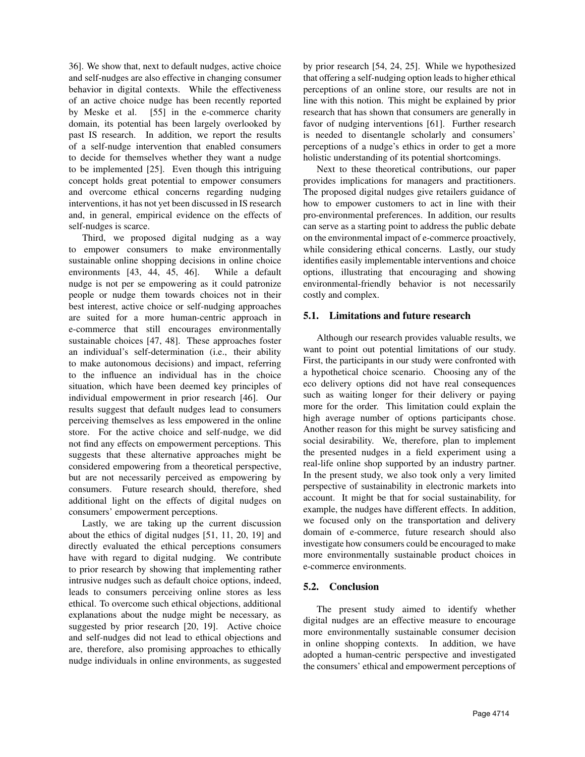36]. We show that, next to default nudges, active choice and self-nudges are also effective in changing consumer behavior in digital contexts. While the effectiveness of an active choice nudge has been recently reported by Meske et al. [55] in the e-commerce charity domain, its potential has been largely overlooked by past IS research. In addition, we report the results of a self-nudge intervention that enabled consumers to decide for themselves whether they want a nudge to be implemented [25]. Even though this intriguing concept holds great potential to empower consumers and overcome ethical concerns regarding nudging interventions, it has not yet been discussed in IS research and, in general, empirical evidence on the effects of self-nudges is scarce.

Third, we proposed digital nudging as a way to empower consumers to make environmentally sustainable online shopping decisions in online choice environments [43, 44, 45, 46]. While a default nudge is not per se empowering as it could patronize people or nudge them towards choices not in their best interest, active choice or self-nudging approaches are suited for a more human-centric approach in e-commerce that still encourages environmentally sustainable choices [47, 48]. These approaches foster an individual's self-determination (i.e., their ability to make autonomous decisions) and impact, referring to the influence an individual has in the choice situation, which have been deemed key principles of individual empowerment in prior research [46]. Our results suggest that default nudges lead to consumers perceiving themselves as less empowered in the online store. For the active choice and self-nudge, we did not find any effects on empowerment perceptions. This suggests that these alternative approaches might be considered empowering from a theoretical perspective, but are not necessarily perceived as empowering by consumers. Future research should, therefore, shed additional light on the effects of digital nudges on consumers' empowerment perceptions.

Lastly, we are taking up the current discussion about the ethics of digital nudges [51, 11, 20, 19] and directly evaluated the ethical perceptions consumers have with regard to digital nudging. We contribute to prior research by showing that implementing rather intrusive nudges such as default choice options, indeed, leads to consumers perceiving online stores as less ethical. To overcome such ethical objections, additional explanations about the nudge might be necessary, as suggested by prior research [20, 19]. Active choice and self-nudges did not lead to ethical objections and are, therefore, also promising approaches to ethically nudge individuals in online environments, as suggested by prior research [54, 24, 25]. While we hypothesized that offering a self-nudging option leads to higher ethical perceptions of an online store, our results are not in line with this notion. This might be explained by prior research that has shown that consumers are generally in favor of nudging interventions [61]. Further research is needed to disentangle scholarly and consumers' perceptions of a nudge's ethics in order to get a more holistic understanding of its potential shortcomings.

Next to these theoretical contributions, our paper provides implications for managers and practitioners. The proposed digital nudges give retailers guidance of how to empower customers to act in line with their pro-environmental preferences. In addition, our results can serve as a starting point to address the public debate on the environmental impact of e-commerce proactively, while considering ethical concerns. Lastly, our study identifies easily implementable interventions and choice options, illustrating that encouraging and showing environmental-friendly behavior is not necessarily costly and complex.

## 5.1. Limitations and future research

Although our research provides valuable results, we want to point out potential limitations of our study. First, the participants in our study were confronted with a hypothetical choice scenario. Choosing any of the eco delivery options did not have real consequences such as waiting longer for their delivery or paying more for the order. This limitation could explain the high average number of options participants chose. Another reason for this might be survey satisficing and social desirability. We, therefore, plan to implement the presented nudges in a field experiment using a real-life online shop supported by an industry partner. In the present study, we also took only a very limited perspective of sustainability in electronic markets into account. It might be that for social sustainability, for example, the nudges have different effects. In addition, we focused only on the transportation and delivery domain of e-commerce, future research should also investigate how consumers could be encouraged to make more environmentally sustainable product choices in e-commerce environments.

## 5.2. Conclusion

The present study aimed to identify whether digital nudges are an effective measure to encourage more environmentally sustainable consumer decision in online shopping contexts. In addition, we have adopted a human-centric perspective and investigated the consumers' ethical and empowerment perceptions of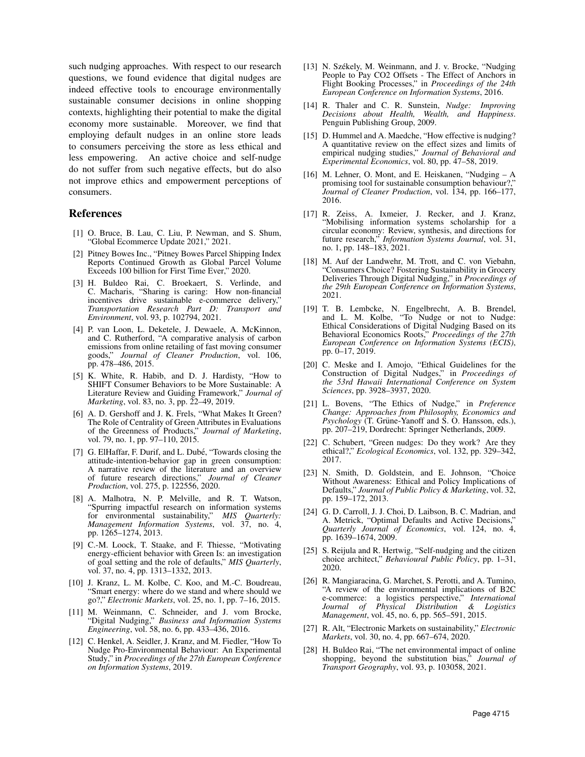such nudging approaches. With respect to our research questions, we found evidence that digital nudges are indeed effective tools to encourage environmentally sustainable consumer decisions in online shopping contexts, highlighting their potential to make the digital economy more sustainable. Moreover, we find that employing default nudges in an online store leads to consumers perceiving the store as less ethical and less empowering. An active choice and self-nudge do not suffer from such negative effects, but do also not improve ethics and empowerment perceptions of consumers.

## References

- [1] O. Bruce, B. Lau, C. Liu, P. Newman, and S. Shum, Global Ecommerce Update 2021," 2021
- [2] Pitney Bowes Inc., "Pitney Bowes Parcel Shipping Index Reports Continued Growth as Global Parcel Volume Exceeds 100 billion for First Time Ever," 2020.
- [3] H. Buldeo Rai, C. Broekaert, S. Verlinde, and C. Macharis, "Sharing is caring: How non-financial incentives drive sustainable e-commerce delivery," *Transportation Research Part D: Transport and Environment*, vol. 93, p. 102794, 2021.
- [4] P. van Loon, L. Deketele, J. Dewaele, A. McKinnon, and C. Rutherford, "A comparative analysis of carbon emissions from online retailing of fast moving consumer goods," *Journal of Cleaner Production*, vol. 106, pp. 478–486, 2015.
- [5] K. White, R. Habib, and D. J. Hardisty, "How to SHIFT Consumer Behaviors to be More Sustainable: A Literature Review and Guiding Framework," *Journal of Marketing*, vol. 83, no. 3, pp. 22–49, 2019.
- [6] A. D. Gershoff and J. K. Frels, "What Makes It Green? The Role of Centrality of Green Attributes in Evaluations of the Greenness of Products," *Journal of Marketing*, vol. 79, no. 1, pp. 97–110, 2015.
- [7] G. ElHaffar, F. Durif, and L. Dubé, "Towards closing the attitude-intention-behavior gap in green consumption: A narrative review of the literature and an overview of future research directions," *Journal of Cleaner Production*, vol. 275, p. 122556, 2020.
- [8] A. Malhotra, N. P. Melville, and R. T. Watson, "Spurring impactful research on information systems for environmental sustainability," *MIS Quarterly: Management Information Systems*, vol. 37, no. 4, pp. 1265–1274, 2013.
- [9] C.-M. Loock, T. Staake, and F. Thiesse, "Motivating energy-efficient behavior with Green Is: an investigation of goal setting and the role of defaults," *MIS Quarterly*, vol. 37, no. 4, pp. 1313–1332, 2013.
- [10] J. Kranz, L. M. Kolbe, C. Koo, and M.-C. Boudreau, "Smart energy: where do we stand and where should we go?," *Electronic Markets*, vol. 25, no. 1, pp. 7–16, 2015.
- [11] M. Weinmann, C. Schneider, and J. vom Brocke, "Digital Nudging," *Business and Information Systems Engineering*, vol. 58, no. 6, pp. 433–436, 2016.
- [12] C. Henkel, A. Seidler, J. Kranz, and M. Fiedler, "How To Nudge Pro-Environmental Behaviour: An Experimental Study," in *Proceedings of the 27th European Conference on Information Systems*, 2019.
- [13] N. Székely, M. Weinmann, and J. v. Brocke, "Nudging People to Pay CO2 Offsets - The Effect of Anchors in Flight Booking Processes," in *Proceedings of the 24th European Conference on Information Systems*, 2016.
- [14] R. Thaler and C. R. Sunstein, *Nudge: Improving Decisions about Health, Wealth, and Happiness*. Penguin Publishing Group, 2009.
- [15] D. Hummel and A. Maedche, "How effective is nudging? A quantitative review on the effect sizes and limits of empirical nudging studies," *Journal of Behavioral and Experimental Economics*, vol. 80, pp. 47–58, 2019.
- [16] M. Lehner, O. Mont, and E. Heiskanen, "Nudging A promising tool for sustainable consumption behaviour?," *Journal of Cleaner Production*, vol. 134, pp. 166–177, 2016.
- [17] R. Zeiss, A. Ixmeier, J. Recker, and J. Kranz, "Mobilising information systems scholarship for a circular economy: Review, synthesis, and directions for future research," *Information Systems Journal*, vol. 31, no. 1, pp. 148–183, 2021.
- [18] M. Auf der Landwehr, M. Trott, and C. von Viebahn, "Consumers Choice? Fostering Sustainability in Grocery Deliveries Through Digital Nudging," in *Proceedings of the 29th European Conference on Information Systems*, 2021.
- [19] T. B. Lembcke, N. Engelbrecht, A. B. Brendel, and L. M. Kolbe, "To Nudge or not to Nudge: Ethical Considerations of Digital Nudging Based on its Behavioral Economics Roots," *Proceedings of the 27th European Conference on Information Systems (ECIS)*, pp. 0–17, 2019.
- [20] C. Meske and I. Amojo, "Ethical Guidelines for the Construction of Digital Nudges," in *Proceedings of the 53rd Hawaii International Conference on System Sciences*, pp. 3928–3937, 2020.
- [21] L. Bovens, "The Ethics of Nudge," in *Preference Change: Approaches from Philosophy, Economics and Psychology* (T. Grüne-Yanoff and S. O. Hansson, eds.), pp. 207–219, Dordrecht: Springer Netherlands, 2009.
- [22] C. Schubert, "Green nudges: Do they work? Are they ethical?," *Ecological Economics*, vol. 132, pp. 329–342, 2017.
- [23] N. Smith, D. Goldstein, and E. Johnson, "Choice Without Awareness: Ethical and Policy Implications of Defaults," *Journal of Public Policy & Marketing*, vol. 32, pp. 159–172, 2013.
- [24] G. D. Carroll, J. J. Choi, D. Laibson, B. C. Madrian, and A. Metrick, "Optimal Defaults and Active Decisions," *Quarterly Journal of Economics*, vol. 124, no. 4, pp. 1639–1674, 2009.
- [25] S. Reijula and R. Hertwig, "Self-nudging and the citizen choice architect," *Behavioural Public Policy*, pp. 1–31, 2020.
- [26] R. Mangiaracina, G. Marchet, S. Perotti, and A. Tumino, "A review of the environmental implications of B2C e-commerce: a logistics perspective," *International Journal of Physical Distribution & Logistics Management*, vol. 45, no. 6, pp. 565–591, 2015.
- [27] R. Alt, "Electronic Markets on sustainability," *Electronic Markets*, vol. 30, no. 4, pp. 667–674, 2020.
- [28] H. Buldeo Rai, "The net environmental impact of online shopping, beyond the substitution bias," *Journal of Transport Geography*, vol. 93, p. 103058, 2021.